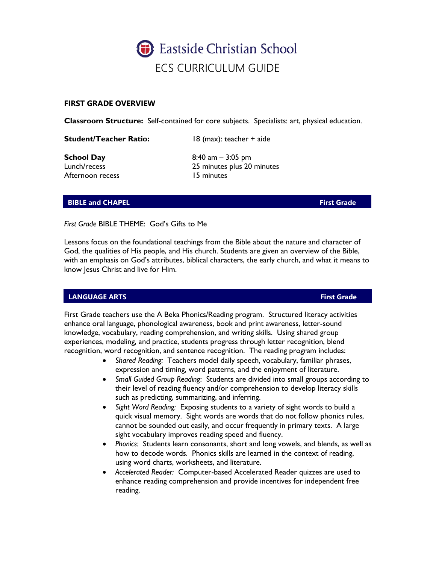

### **FIRST GRADE OVERVIEW**

**Classroom Structure:** Self-contained for core subjects. Specialists: art, physical education.

**Student/Teacher Ratio:** 18 (max): teacher + aide

Afternoon recess 15 minutes

**School Day** 8:40 am – 3:05 pm Lunch/recess 25 minutes plus 20 minutes

### **BIBLE and CHAPEL First Grade**

*First Grade* BIBLE THEME: God's Gifts to Me

Lessons focus on the foundational teachings from the Bible about the nature and character of God, the qualities of His people, and His church. Students are given an overview of the Bible, with an emphasis on God's attributes, biblical characters, the early church, and what it means to know Jesus Christ and live for Him.

## **LANGUAGE ARTS First Grade**

First Grade teachers use the A Beka Phonics/Reading program. Structured literacy activities enhance oral language, phonological awareness, book and print awareness, letter-sound knowledge, vocabulary, reading comprehension, and writing skills. Using shared group experiences, modeling, and practice, students progress through letter recognition, blend recognition, word recognition, and sentence recognition. The reading program includes:

- *Shared Reading:* Teachers model daily speech, vocabulary, familiar phrases, expression and timing, word patterns, and the enjoyment of literature.
- *Small Guided Group Reading*: Students are divided into small groups according to their level of reading fluency and/or comprehension to develop literacy skills such as predicting, summarizing, and inferring.
- *Sight Word Reading:* Exposing students to a variety of sight words to build a quick visual memory. Sight words are words that do not follow phonics rules, cannot be sounded out easily, and occur frequently in primary texts. A large sight vocabulary improves reading speed and fluency.
- *Phonics:* Students learn consonants, short and long vowels, and blends, as well as how to decode words. Phonics skills are learned in the context of reading, using word charts, worksheets, and literature.
- *Accelerated Reader:* Computer-based Accelerated Reader quizzes are used to enhance reading comprehension and provide incentives for independent free reading.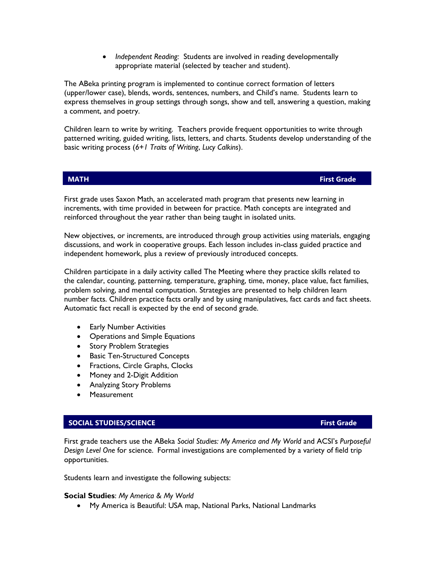• *Independent Reading:* Students are involved in reading developmentally appropriate material (selected by teacher and student).

The ABeka printing program is implemented to continue correct formation of letters (upper/lower case), blends, words, sentences, numbers, and Child's name. Students learn to express themselves in group settings through songs, show and tell, answering a question, making a comment, and poetry.

Children learn to write by writing. Teachers provide frequent opportunities to write through patterned writing, guided writing, lists, letters, and charts. Students develop understanding of the basic writing process (*6+1 Traits of Writing*, *Lucy Calkins*).

**MATH First Grade**

First grade uses Saxon Math, an accelerated math program that presents new learning in increments, with time provided in between for practice. Math concepts are integrated and reinforced throughout the year rather than being taught in isolated units.

New objectives, or increments, are introduced through group activities using materials, engaging discussions, and work in cooperative groups. Each lesson includes in-class guided practice and independent homework, plus a review of previously introduced concepts.

Children participate in a daily activity called The Meeting where they practice skills related to the calendar, counting, patterning, temperature, graphing, time, money, place value, fact families, problem solving, and mental computation. Strategies are presented to help children learn number facts. Children practice facts orally and by using manipulatives, fact cards and fact sheets. Automatic fact recall is expected by the end of second grade.

- Early Number Activities
- Operations and Simple Equations
- Story Problem Strategies
- Basic Ten-Structured Concepts
- Fractions, Circle Graphs, Clocks
- Money and 2-Digit Addition
- Analyzing Story Problems
- **Measurement**

### **SOCIAL STUDIES/SCIENCE First Grade**

First grade teachers use the ABeka *Social Studies: My America and My World* and ACSI's *Purposeful Design Level One* for science.Formal investigations are complemented by a variety of field trip opportunities.

Students learn and investigate the following subjects:

### **Social Studies**: *My America & My World*

• My America is Beautiful: USA map, National Parks, National Landmarks